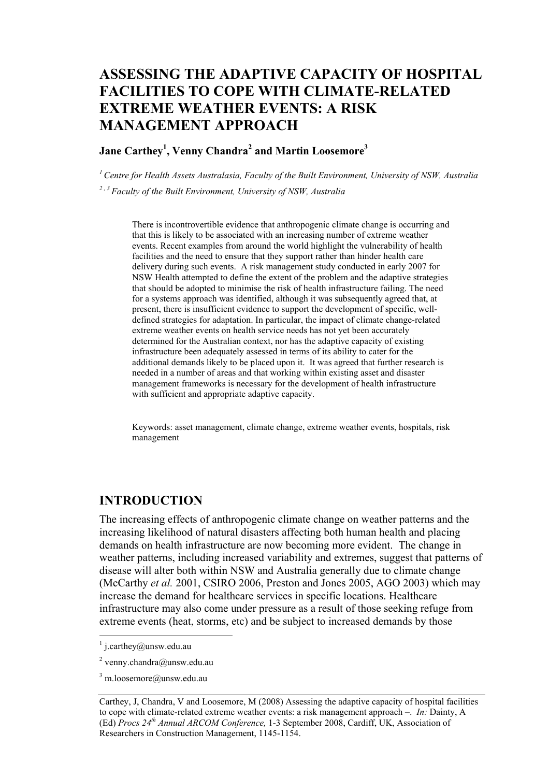# **ASSESSING THE ADAPTIVE CAPACITY OF HOSPITAL FACILITIES TO COPE WITH CLIMATE-RELATED EXTREME WEATHER EVENTS: A RISK MANAGEMENT APPROACH**

#### **Jane Carthey1 , Venny Chandra<sup>2</sup> and Martin Loosemore3**

*1 Centre for Health Assets Australasia, Faculty of the Built Environment, University of NSW, Australia 2 , 3 Faculty of the Built Environment, University of NSW, Australia* 

There is incontrovertible evidence that anthropogenic climate change is occurring and that this is likely to be associated with an increasing number of extreme weather events. Recent examples from around the world highlight the vulnerability of health facilities and the need to ensure that they support rather than hinder health care delivery during such events. A risk management study conducted in early 2007 for NSW Health attempted to define the extent of the problem and the adaptive strategies that should be adopted to minimise the risk of health infrastructure failing. The need for a systems approach was identified, although it was subsequently agreed that, at present, there is insufficient evidence to support the development of specific, welldefined strategies for adaptation. In particular, the impact of climate change-related extreme weather events on health service needs has not yet been accurately determined for the Australian context, nor has the adaptive capacity of existing infrastructure been adequately assessed in terms of its ability to cater for the additional demands likely to be placed upon it. It was agreed that further research is needed in a number of areas and that working within existing asset and disaster management frameworks is necessary for the development of health infrastructure with sufficient and appropriate adaptive capacity.

Keywords: asset management, climate change, extreme weather events, hospitals, risk management

## **INTRODUCTION**

The increasing effects of anthropogenic climate change on weather patterns and the increasing likelihood of natural disasters affecting both human health and placing demands on health infrastructure are now becoming more evident. The change in weather patterns, including increased variability and extremes, suggest that patterns of disease will alter both within NSW and Australia generally due to climate change (McCarthy *et al.* 2001, CSIRO 2006, Preston and Jones 2005, AGO 2003) which may increase the demand for healthcare services in specific locations. Healthcare infrastructure may also come under pressure as a result of those seeking refuge from extreme events (heat, storms, etc) and be subject to increased demands by those

<sup>&</sup>lt;sup>1</sup> j.carthey@unsw.edu.au

<sup>&</sup>lt;sup>2</sup> venny.chandra@unsw.edu.au

<sup>&</sup>lt;sup>3</sup> m.loosemore@unsw.edu.au

Carthey, J, Chandra, V and Loosemore, M (2008) Assessing the adaptive capacity of hospital facilities to cope with climate-related extreme weather events: a risk management approach –. *In:* Dainty, A (Ed) *Procs 24th Annual ARCOM Conference,* 1-3 September 2008, Cardiff, UK, Association of Researchers in Construction Management, 1145-1154.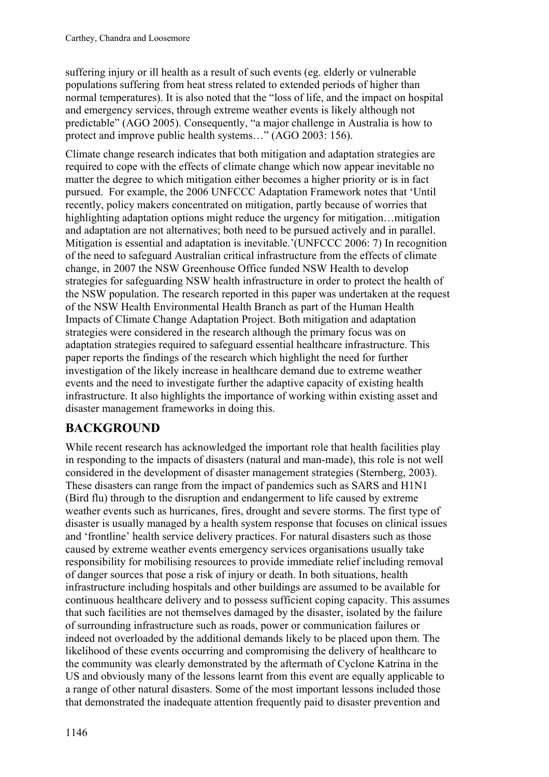suffering injury or ill health as a result of such events (eg. elderly or vulnerable populations suffering from heat stress related to extended periods of higher than normal temperatures). It is also noted that the "loss of life, and the impact on hospital and emergency services, through extreme weather events is likely although not predictable" (AGO 2005). Consequently, "a major challenge in Australia is how to protect and improve public health systems…" (AGO 2003: 156).

Climate change research indicates that both mitigation and adaptation strategies are required to cope with the effects of climate change which now appear inevitable no matter the degree to which mitigation either becomes a higher priority or is in fact pursued. For example, the 2006 UNFCCC Adaptation Framework notes that 'Until recently, policy makers concentrated on mitigation, partly because of worries that highlighting adaptation options might reduce the urgency for mitigation…mitigation and adaptation are not alternatives; both need to be pursued actively and in parallel. Mitigation is essential and adaptation is inevitable.'(UNFCCC 2006: 7) In recognition of the need to safeguard Australian critical infrastructure from the effects of climate change, in 2007 the NSW Greenhouse Office funded NSW Health to develop strategies for safeguarding NSW health infrastructure in order to protect the health of the NSW population. The research reported in this paper was undertaken at the request of the NSW Health Environmental Health Branch as part of the Human Health Impacts of Climate Change Adaptation Project. Both mitigation and adaptation strategies were considered in the research although the primary focus was on adaptation strategies required to safeguard essential healthcare infrastructure. This paper reports the findings of the research which highlight the need for further investigation of the likely increase in healthcare demand due to extreme weather events and the need to investigate further the adaptive capacity of existing health infrastructure. It also highlights the importance of working within existing asset and disaster management frameworks in doing this.

## **BACKGROUND**

While recent research has acknowledged the important role that health facilities play in responding to the impacts of disasters (natural and man-made), this role is not well considered in the development of disaster management strategies (Sternberg, 2003). These disasters can range from the impact of pandemics such as SARS and H1N1 (Bird flu) through to the disruption and endangerment to life caused by extreme weather events such as hurricanes, fires, drought and severe storms. The first type of disaster is usually managed by a health system response that focuses on clinical issues and 'frontline' health service delivery practices. For natural disasters such as those caused by extreme weather events emergency services organisations usually take responsibility for mobilising resources to provide immediate relief including removal of danger sources that pose a risk of injury or death. In both situations, health infrastructure including hospitals and other buildings are assumed to be available for continuous healthcare delivery and to possess sufficient coping capacity. This assumes that such facilities are not themselves damaged by the disaster, isolated by the failure of surrounding infrastructure such as roads, power or communication failures or indeed not overloaded by the additional demands likely to be placed upon them. The likelihood of these events occurring and compromising the delivery of healthcare to the community was clearly demonstrated by the aftermath of Cyclone Katrina in the US and obviously many of the lessons learnt from this event are equally applicable to a range of other natural disasters. Some of the most important lessons included those that demonstrated the inadequate attention frequently paid to disaster prevention and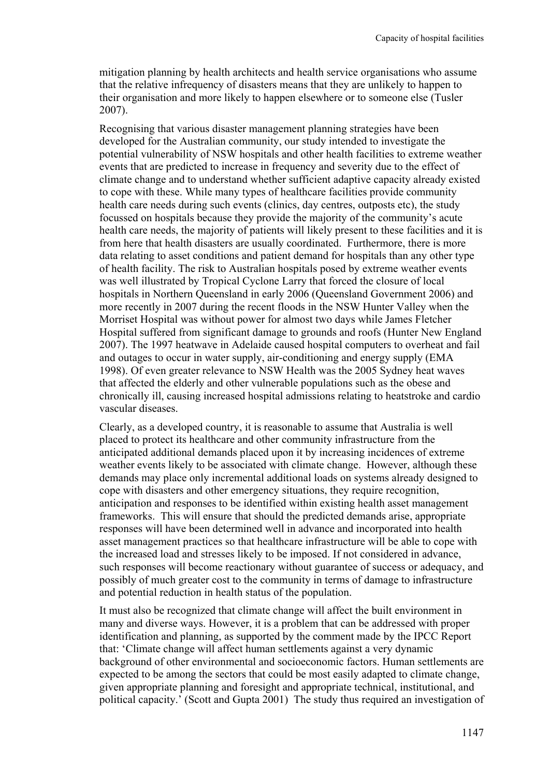mitigation planning by health architects and health service organisations who assume that the relative infrequency of disasters means that they are unlikely to happen to their organisation and more likely to happen elsewhere or to someone else (Tusler 2007).

Recognising that various disaster management planning strategies have been developed for the Australian community, our study intended to investigate the potential vulnerability of NSW hospitals and other health facilities to extreme weather events that are predicted to increase in frequency and severity due to the effect of climate change and to understand whether sufficient adaptive capacity already existed to cope with these. While many types of healthcare facilities provide community health care needs during such events (clinics, day centres, outposts etc), the study focussed on hospitals because they provide the majority of the community's acute health care needs, the majority of patients will likely present to these facilities and it is from here that health disasters are usually coordinated. Furthermore, there is more data relating to asset conditions and patient demand for hospitals than any other type of health facility. The risk to Australian hospitals posed by extreme weather events was well illustrated by Tropical Cyclone Larry that forced the closure of local hospitals in Northern Queensland in early 2006 (Queensland Government 2006) and more recently in 2007 during the recent floods in the NSW Hunter Valley when the Morriset Hospital was without power for almost two days while James Fletcher Hospital suffered from significant damage to grounds and roofs (Hunter New England 2007). The 1997 heatwave in Adelaide caused hospital computers to overheat and fail and outages to occur in water supply, air-conditioning and energy supply (EMA 1998). Of even greater relevance to NSW Health was the 2005 Sydney heat waves that affected the elderly and other vulnerable populations such as the obese and chronically ill, causing increased hospital admissions relating to heatstroke and cardio vascular diseases.

Clearly, as a developed country, it is reasonable to assume that Australia is well placed to protect its healthcare and other community infrastructure from the anticipated additional demands placed upon it by increasing incidences of extreme weather events likely to be associated with climate change. However, although these demands may place only incremental additional loads on systems already designed to cope with disasters and other emergency situations, they require recognition, anticipation and responses to be identified within existing health asset management frameworks. This will ensure that should the predicted demands arise, appropriate responses will have been determined well in advance and incorporated into health asset management practices so that healthcare infrastructure will be able to cope with the increased load and stresses likely to be imposed. If not considered in advance, such responses will become reactionary without guarantee of success or adequacy, and possibly of much greater cost to the community in terms of damage to infrastructure and potential reduction in health status of the population.

It must also be recognized that climate change will affect the built environment in many and diverse ways. However, it is a problem that can be addressed with proper identification and planning, as supported by the comment made by the IPCC Report that: 'Climate change will affect human settlements against a very dynamic background of other environmental and socioeconomic factors. Human settlements are expected to be among the sectors that could be most easily adapted to climate change, given appropriate planning and foresight and appropriate technical, institutional, and political capacity.' (Scott and Gupta 2001) The study thus required an investigation of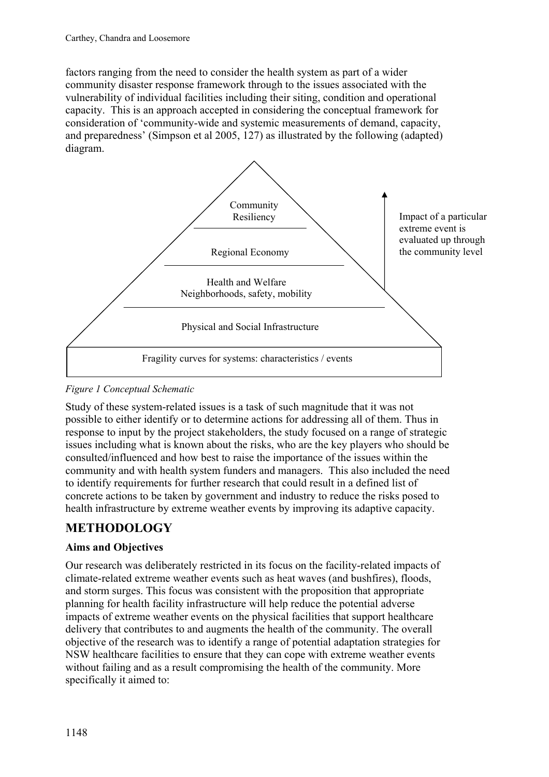factors ranging from the need to consider the health system as part of a wider community disaster response framework through to the issues associated with the vulnerability of individual facilities including their siting, condition and operational capacity. This is an approach accepted in considering the conceptual framework for consideration of 'community-wide and systemic measurements of demand, capacity, and preparedness' (Simpson et al 2005, 127) as illustrated by the following (adapted) diagram.



### *Figure 1 Conceptual Schematic*

Study of these system-related issues is a task of such magnitude that it was not possible to either identify or to determine actions for addressing all of them. Thus in response to input by the project stakeholders, the study focused on a range of strategic issues including what is known about the risks, who are the key players who should be consulted/influenced and how best to raise the importance of the issues within the community and with health system funders and managers. This also included the need to identify requirements for further research that could result in a defined list of concrete actions to be taken by government and industry to reduce the risks posed to health infrastructure by extreme weather events by improving its adaptive capacity.

## **METHODOLOGY**

## **Aims and Objectives**

Our research was deliberately restricted in its focus on the facility-related impacts of climate-related extreme weather events such as heat waves (and bushfires), floods, and storm surges. This focus was consistent with the proposition that appropriate planning for health facility infrastructure will help reduce the potential adverse impacts of extreme weather events on the physical facilities that support healthcare delivery that contributes to and augments the health of the community. The overall objective of the research was to identify a range of potential adaptation strategies for NSW healthcare facilities to ensure that they can cope with extreme weather events without failing and as a result compromising the health of the community. More specifically it aimed to: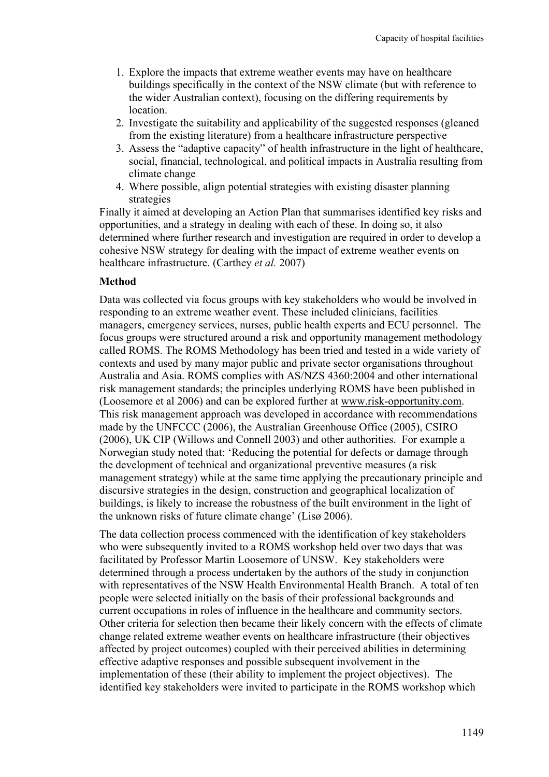- 1. Explore the impacts that extreme weather events may have on healthcare buildings specifically in the context of the NSW climate (but with reference to the wider Australian context), focusing on the differing requirements by location.
- 2. Investigate the suitability and applicability of the suggested responses (gleaned from the existing literature) from a healthcare infrastructure perspective
- 3. Assess the "adaptive capacity" of health infrastructure in the light of healthcare, social, financial, technological, and political impacts in Australia resulting from climate change
- 4. Where possible, align potential strategies with existing disaster planning strategies

Finally it aimed at developing an Action Plan that summarises identified key risks and opportunities, and a strategy in dealing with each of these. In doing so, it also determined where further research and investigation are required in order to develop a cohesive NSW strategy for dealing with the impact of extreme weather events on healthcare infrastructure. (Carthey *et al.* 2007)

#### **Method**

Data was collected via focus groups with key stakeholders who would be involved in responding to an extreme weather event. These included clinicians, facilities managers, emergency services, nurses, public health experts and ECU personnel. The focus groups were structured around a risk and opportunity management methodology called ROMS. The ROMS Methodology has been tried and tested in a wide variety of contexts and used by many major public and private sector organisations throughout Australia and Asia. ROMS complies with AS/NZS 4360:2004 and other international risk management standards; the principles underlying ROMS have been published in (Loosemore et al 2006) and can be explored further at www.risk-opportunity.com. This risk management approach was developed in accordance with recommendations made by the UNFCCC (2006), the Australian Greenhouse Office (2005), CSIRO (2006), UK CIP (Willows and Connell 2003) and other authorities. For example a Norwegian study noted that: 'Reducing the potential for defects or damage through the development of technical and organizational preventive measures (a risk management strategy) while at the same time applying the precautionary principle and discursive strategies in the design, construction and geographical localization of buildings, is likely to increase the robustness of the built environment in the light of the unknown risks of future climate change' (Lisø 2006).

The data collection process commenced with the identification of key stakeholders who were subsequently invited to a ROMS workshop held over two days that was facilitated by Professor Martin Loosemore of UNSW. Key stakeholders were determined through a process undertaken by the authors of the study in conjunction with representatives of the NSW Health Environmental Health Branch. A total of ten people were selected initially on the basis of their professional backgrounds and current occupations in roles of influence in the healthcare and community sectors. Other criteria for selection then became their likely concern with the effects of climate change related extreme weather events on healthcare infrastructure (their objectives affected by project outcomes) coupled with their perceived abilities in determining effective adaptive responses and possible subsequent involvement in the implementation of these (their ability to implement the project objectives). The identified key stakeholders were invited to participate in the ROMS workshop which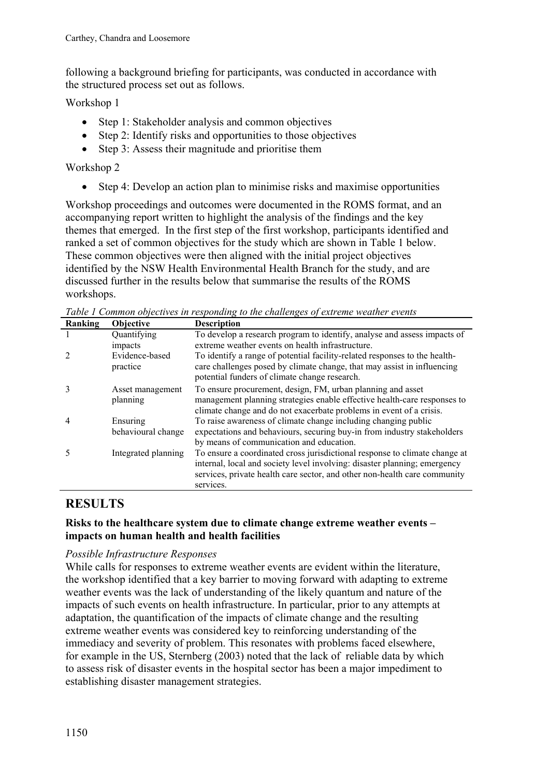following a background briefing for participants, was conducted in accordance with the structured process set out as follows.

Workshop 1

- Step 1: Stakeholder analysis and common objectives
- Step 2: Identify risks and opportunities to those objectives
- Step 3: Assess their magnitude and prioritise them

Workshop 2

• Step 4: Develop an action plan to minimise risks and maximise opportunities

Workshop proceedings and outcomes were documented in the ROMS format, and an accompanying report written to highlight the analysis of the findings and the key themes that emerged. In the first step of the first workshop, participants identified and ranked a set of common objectives for the study which are shown in Table 1 below. These common objectives were then aligned with the initial project objectives identified by the NSW Health Environmental Health Branch for the study, and are discussed further in the results below that summarise the results of the ROMS workshops.

| Ranking        | Objective           | <b>Description</b>                                                         |
|----------------|---------------------|----------------------------------------------------------------------------|
|                | Quantifying         | To develop a research program to identify, analyse and assess impacts of   |
|                | impacts             | extreme weather events on health infrastructure.                           |
|                | Evidence-based      | To identify a range of potential facility-related responses to the health- |
|                | practice            | care challenges posed by climate change, that may assist in influencing    |
|                |                     | potential funders of climate change research.                              |
|                | Asset management    | To ensure procurement, design, FM, urban planning and asset                |
|                | planning            | management planning strategies enable effective health-care responses to   |
|                |                     | climate change and do not exacerbate problems in event of a crisis.        |
| $\overline{4}$ | Ensuring            | To raise awareness of climate change including changing public             |
|                | behavioural change  | expectations and behaviours, securing buy-in from industry stakeholders    |
|                |                     | by means of communication and education.                                   |
|                | Integrated planning | To ensure a coordinated cross jurisdictional response to climate change at |
|                |                     | internal, local and society level involving: disaster planning; emergency  |
|                |                     | services, private health care sector, and other non-health care community  |
|                |                     | services.                                                                  |

*Table 1 Common objectives in responding to the challenges of extreme weather events* 

# **RESULTS**

#### **Risks to the healthcare system due to climate change extreme weather events – impacts on human health and health facilities**

#### *Possible Infrastructure Responses*

While calls for responses to extreme weather events are evident within the literature, the workshop identified that a key barrier to moving forward with adapting to extreme weather events was the lack of understanding of the likely quantum and nature of the impacts of such events on health infrastructure. In particular, prior to any attempts at adaptation, the quantification of the impacts of climate change and the resulting extreme weather events was considered key to reinforcing understanding of the immediacy and severity of problem. This resonates with problems faced elsewhere, for example in the US, Sternberg (2003) noted that the lack of reliable data by which to assess risk of disaster events in the hospital sector has been a major impediment to establishing disaster management strategies.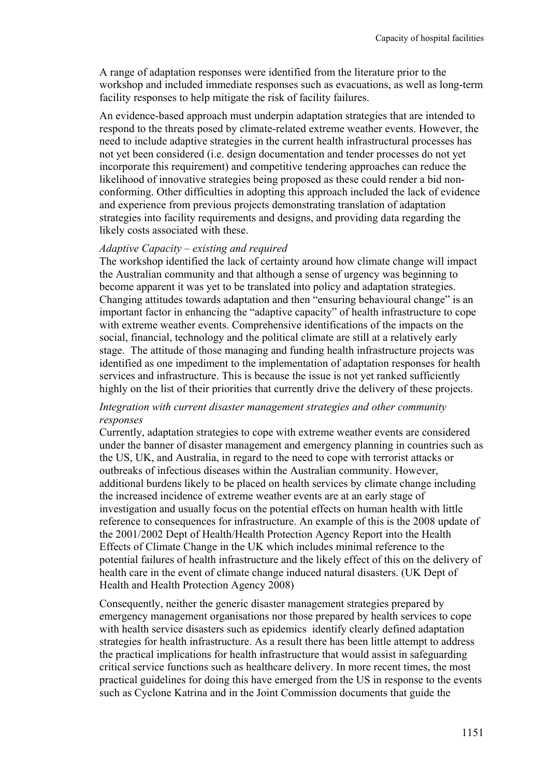A range of adaptation responses were identified from the literature prior to the workshop and included immediate responses such as evacuations, as well as long-term facility responses to help mitigate the risk of facility failures.

An evidence-based approach must underpin adaptation strategies that are intended to respond to the threats posed by climate-related extreme weather events. However, the need to include adaptive strategies in the current health infrastructural processes has not yet been considered (i.e. design documentation and tender processes do not yet incorporate this requirement) and competitive tendering approaches can reduce the likelihood of innovative strategies being proposed as these could render a bid nonconforming. Other difficulties in adopting this approach included the lack of evidence and experience from previous projects demonstrating translation of adaptation strategies into facility requirements and designs, and providing data regarding the likely costs associated with these.

#### *Adaptive Capacity – existing and required*

The workshop identified the lack of certainty around how climate change will impact the Australian community and that although a sense of urgency was beginning to become apparent it was yet to be translated into policy and adaptation strategies. Changing attitudes towards adaptation and then "ensuring behavioural change" is an important factor in enhancing the "adaptive capacity" of health infrastructure to cope with extreme weather events. Comprehensive identifications of the impacts on the social, financial, technology and the political climate are still at a relatively early stage. The attitude of those managing and funding health infrastructure projects was identified as one impediment to the implementation of adaptation responses for health services and infrastructure. This is because the issue is not yet ranked sufficiently highly on the list of their priorities that currently drive the delivery of these projects.

#### *Integration with current disaster management strategies and other community responses*

Currently, adaptation strategies to cope with extreme weather events are considered under the banner of disaster management and emergency planning in countries such as the US, UK, and Australia, in regard to the need to cope with terrorist attacks or outbreaks of infectious diseases within the Australian community. However, additional burdens likely to be placed on health services by climate change including the increased incidence of extreme weather events are at an early stage of investigation and usually focus on the potential effects on human health with little reference to consequences for infrastructure. An example of this is the 2008 update of the 2001/2002 Dept of Health/Health Protection Agency Report into the Health Effects of Climate Change in the UK which includes minimal reference to the potential failures of health infrastructure and the likely effect of this on the delivery of health care in the event of climate change induced natural disasters. (UK Dept of Health and Health Protection Agency 2008)

Consequently, neither the generic disaster management strategies prepared by emergency management organisations nor those prepared by health services to cope with health service disasters such as epidemics identify clearly defined adaptation strategies for health infrastructure. As a result there has been little attempt to address the practical implications for health infrastructure that would assist in safeguarding critical service functions such as healthcare delivery. In more recent times, the most practical guidelines for doing this have emerged from the US in response to the events such as Cyclone Katrina and in the Joint Commission documents that guide the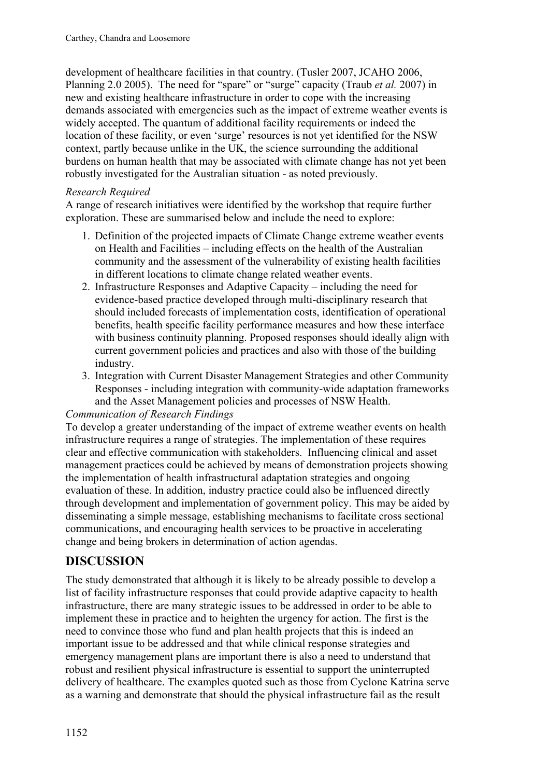development of healthcare facilities in that country. (Tusler 2007, JCAHO 2006, Planning 2.0 2005). The need for "spare" or "surge" capacity (Traub *et al.* 2007) in new and existing healthcare infrastructure in order to cope with the increasing demands associated with emergencies such as the impact of extreme weather events is widely accepted. The quantum of additional facility requirements or indeed the location of these facility, or even 'surge' resources is not yet identified for the NSW context, partly because unlike in the UK, the science surrounding the additional burdens on human health that may be associated with climate change has not yet been robustly investigated for the Australian situation - as noted previously.

#### *Research Required*

A range of research initiatives were identified by the workshop that require further exploration. These are summarised below and include the need to explore:

- 1. Definition of the projected impacts of Climate Change extreme weather events on Health and Facilities – including effects on the health of the Australian community and the assessment of the vulnerability of existing health facilities in different locations to climate change related weather events.
- 2. Infrastructure Responses and Adaptive Capacity including the need for evidence-based practice developed through multi-disciplinary research that should included forecasts of implementation costs, identification of operational benefits, health specific facility performance measures and how these interface with business continuity planning. Proposed responses should ideally align with current government policies and practices and also with those of the building industry.
- 3. Integration with Current Disaster Management Strategies and other Community Responses - including integration with community-wide adaptation frameworks and the Asset Management policies and processes of NSW Health.

#### *Communication of Research Findings*

To develop a greater understanding of the impact of extreme weather events on health infrastructure requires a range of strategies. The implementation of these requires clear and effective communication with stakeholders. Influencing clinical and asset management practices could be achieved by means of demonstration projects showing the implementation of health infrastructural adaptation strategies and ongoing evaluation of these. In addition, industry practice could also be influenced directly through development and implementation of government policy. This may be aided by disseminating a simple message, establishing mechanisms to facilitate cross sectional communications, and encouraging health services to be proactive in accelerating change and being brokers in determination of action agendas.

## **DISCUSSION**

The study demonstrated that although it is likely to be already possible to develop a list of facility infrastructure responses that could provide adaptive capacity to health infrastructure, there are many strategic issues to be addressed in order to be able to implement these in practice and to heighten the urgency for action. The first is the need to convince those who fund and plan health projects that this is indeed an important issue to be addressed and that while clinical response strategies and emergency management plans are important there is also a need to understand that robust and resilient physical infrastructure is essential to support the uninterrupted delivery of healthcare. The examples quoted such as those from Cyclone Katrina serve as a warning and demonstrate that should the physical infrastructure fail as the result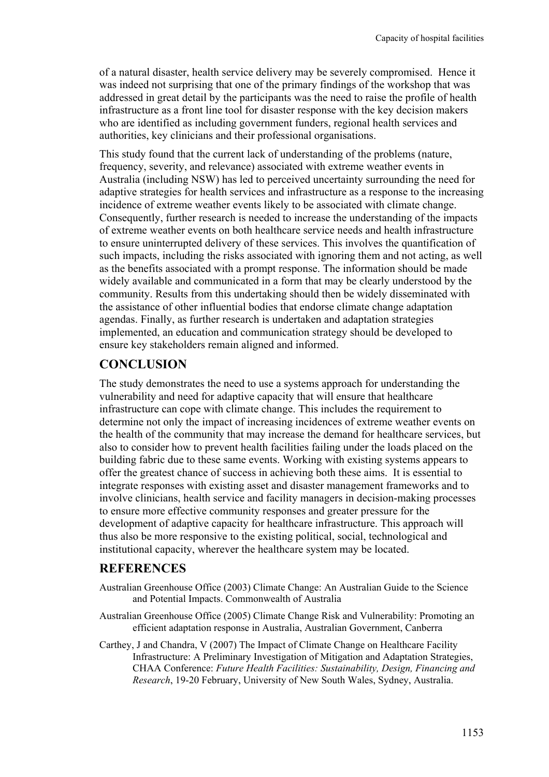of a natural disaster, health service delivery may be severely compromised. Hence it was indeed not surprising that one of the primary findings of the workshop that was addressed in great detail by the participants was the need to raise the profile of health infrastructure as a front line tool for disaster response with the key decision makers who are identified as including government funders, regional health services and authorities, key clinicians and their professional organisations.

This study found that the current lack of understanding of the problems (nature, frequency, severity, and relevance) associated with extreme weather events in Australia (including NSW) has led to perceived uncertainty surrounding the need for adaptive strategies for health services and infrastructure as a response to the increasing incidence of extreme weather events likely to be associated with climate change. Consequently, further research is needed to increase the understanding of the impacts of extreme weather events on both healthcare service needs and health infrastructure to ensure uninterrupted delivery of these services. This involves the quantification of such impacts, including the risks associated with ignoring them and not acting, as well as the benefits associated with a prompt response. The information should be made widely available and communicated in a form that may be clearly understood by the community. Results from this undertaking should then be widely disseminated with the assistance of other influential bodies that endorse climate change adaptation agendas. Finally, as further research is undertaken and adaptation strategies implemented, an education and communication strategy should be developed to ensure key stakeholders remain aligned and informed.

## **CONCLUSION**

The study demonstrates the need to use a systems approach for understanding the vulnerability and need for adaptive capacity that will ensure that healthcare infrastructure can cope with climate change. This includes the requirement to determine not only the impact of increasing incidences of extreme weather events on the health of the community that may increase the demand for healthcare services, but also to consider how to prevent health facilities failing under the loads placed on the building fabric due to these same events. Working with existing systems appears to offer the greatest chance of success in achieving both these aims. It is essential to integrate responses with existing asset and disaster management frameworks and to involve clinicians, health service and facility managers in decision-making processes to ensure more effective community responses and greater pressure for the development of adaptive capacity for healthcare infrastructure. This approach will thus also be more responsive to the existing political, social, technological and institutional capacity, wherever the healthcare system may be located.

## **REFERENCES**

- Australian Greenhouse Office (2003) Climate Change: An Australian Guide to the Science and Potential Impacts. Commonwealth of Australia
- Australian Greenhouse Office (2005) Climate Change Risk and Vulnerability: Promoting an efficient adaptation response in Australia, Australian Government, Canberra
- Carthey, J and Chandra, V (2007) The Impact of Climate Change on Healthcare Facility Infrastructure: A Preliminary Investigation of Mitigation and Adaptation Strategies, CHAA Conference: *Future Health Facilities: Sustainability, Design, Financing and Research*, 19-20 February, University of New South Wales, Sydney, Australia.